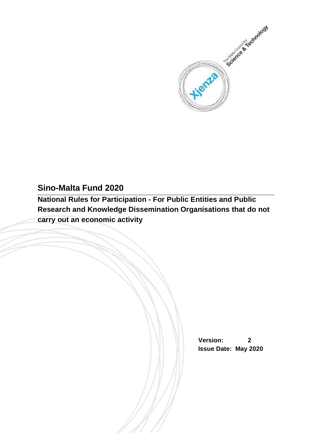

# **Sino-Malta Fund 2020**

**National Rules for Participation - For Public Entities and Public Research and Knowledge Dissemination Organisations that do not carry out an economic activity**

> **Version: 2 Issue Date: May 2020**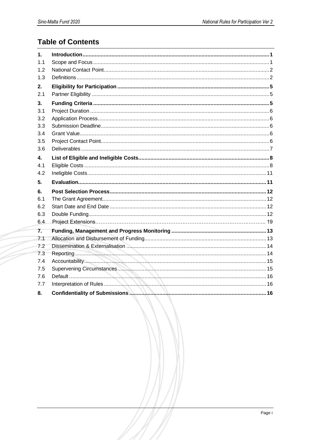# **Table of Contents**

| 1.  |  |
|-----|--|
| 1.1 |  |
| 1.2 |  |
| 1.3 |  |
| 2.  |  |
| 2.1 |  |
| 3.  |  |
| 3.1 |  |
| 3.2 |  |
| 3.3 |  |
| 3.4 |  |
| 3.5 |  |
| 3.6 |  |
| 4.  |  |
| 4.1 |  |
|     |  |
| 4.2 |  |
| 5.  |  |
| 6.  |  |
| 6.1 |  |
| 6.2 |  |
| 6.3 |  |
| 6.4 |  |
| 7.  |  |
| 7.1 |  |
| 7.2 |  |
| 7.3 |  |
| 7.4 |  |
| 7.5 |  |
| 7.6 |  |
| 77  |  |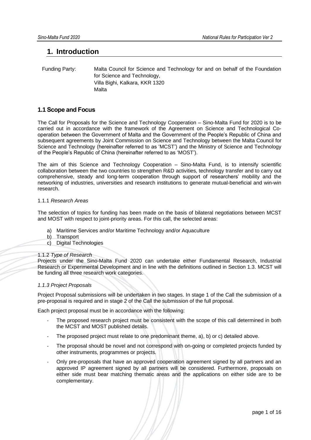## <span id="page-2-0"></span>**1. Introduction**

 Funding Party: Malta Council for Science and Technology for and on behalf of the Foundation for Science and Technology, Villa Bighi, Kalkara, KKR 1320 Malta

## <span id="page-2-1"></span>**1.1 Scope and Focus**

The Call for Proposals for the Science and Technology Cooperation – Sino-Malta Fund for 2020 is to be carried out in accordance with the framework of the Agreement on Science and Technological Cooperation between the Government of Malta and the Government of the People's Republic of China and subsequent agreements by Joint Commission on Science and Technology between the Malta Council for Science and Technology (hereinafter referred to as 'MCST') and the Ministry of Science and Technology of the People's Republic of China (hereinafter referred to as 'MOST').

The aim of this Science and Technology Cooperation – Sino-Malta Fund, is to intensify scientific collaboration between the two countries to strengthen R&D activities, technology transfer and to carry out comprehensive, steady and long-term cooperation through support of researchers' mobility and the networking of industries, universities and research institutions to generate mutual-beneficial and win-win research.

#### 1.1.1 *Research Areas*

The selection of topics for funding has been made on the basis of bilateral negotiations between MCST and MOST with respect to joint-priority areas. For this call, the selected areas:

- a) Maritime Services and/or Maritime Technology and/or Aquaculture
- b) Transport
- c) Digital Technologies

#### 1.1.2 *Type of Research*

Projects under the Sino-Malta Fund 2020 can undertake either Fundamental Research, Industrial Research or Experimental Development and in line with the definitions outlined in Section 1.3. MCST will be funding all three research work categories.

#### *1.1.3 Project Proposals*

Project Proposal submissions will be undertaken in two stages. In stage 1 of the Call the submission of a pre-proposal is required and in stage 2 of the Call the submission of the full proposal.

Each project proposal must be in accordance with the following:

- The proposed research project must be consistent with the scope of this call determined in both the MCST and MOST published details.
- The proposed project must relate to one predominant theme, a), b) or c) detailed above.
- The proposal should be novel and not correspond with on-going or completed projects funded by other instruments, programmes or projects.
- Only pre-proposals that have an approved cooperation agreement signed by all partners and an approved IP agreement signed by all partners will be considered. Furthermore, proposals on either side must bear matching thematic areas and the applications on either side are to be complementary.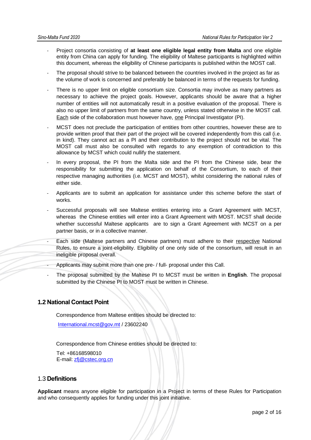- Project consortia consisting of **at least one eligible legal entity from Malta** and one eligible entity from China can apply for funding. The eligibility of Maltese participants is highlighted within this document, whereas the eligibility of Chinese participants is published within the MOST call.
- The proposal should strive to be balanced between the countries involved in the project as far as the volume of work is concerned and preferably be balanced in terms of the requests for funding.
- There is no upper limit on eligible consortium size. Consortia may involve as many partners as necessary to achieve the project goals. However, applicants should be aware that a higher number of entities will not automatically result in a positive evaluation of the proposal. There is also no upper limit of partners from the same country, unless stated otherwise in the MOST call. Each side of the collaboration must however have, one Principal Investigator (PI).
- MCST does not preclude the participation of entities from other countries, however these are to provide written proof that their part of the project will be covered independently from this call (i.e. in kind). They cannot act as a PI and their contribution to the project should not be vital. The MOST call must also be consulted with regards to any exemption of contradiction to this allowance by MCST which could nullify the statement.
- In every proposal, the PI from the Malta side and the PI from the Chinese side, bear the responsibility for submitting the application on behalf of the Consortium, to each of their respective managing authorities (i.e. MCST and MOST), whilst considering the national rules of either side.
- Applicants are to submit an application for assistance under this scheme before the start of works.
- Successful proposals will see Maltese entities entering into a Grant Agreement with MCST, whereas the Chinese entities will enter into a Grant Agreement with MOST. MCST shall decide whether successful Maltese applicants are to sign a Grant Agreement with MCST on a per partner basis, or in a collective manner.
- Each side (Maltese partners and Chinese partners) must adhere to their respective National Rules, to ensure a joint-eligibility. Eligibility of one only side of the consortium, will result in an ineligible proposal overall.
	- Applicants may submit more than one pre- / full- proposal under this Call.
- The proposal submitted by the Maltese PI to MCST must be written in **English**. The proposal submitted by the Chinese PI to MOST must be written in Chinese.

## <span id="page-3-0"></span>**1.2 National Contact Point**

Correspondence from Maltese entities should be directed to:

[International.mcst@gov.mt](mailto:International.mcst@gov.mt) / 23602240

Correspondence from Chinese entities should be directed to:

 Tel: +86168598010 E-mail: zfi@cstec.org.cn

## <span id="page-3-1"></span>1.3 **Definitions**

**Applicant** means anyone eligible for participation in a Project in terms of these Rules for Participation and who consequently applies for funding under this joint initiative.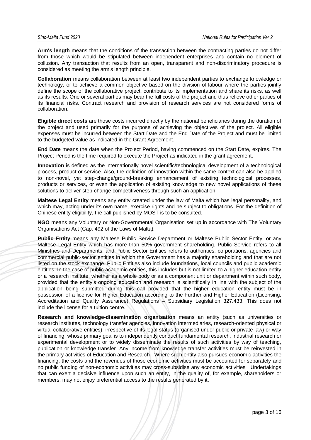**Arm's length** means that the conditions of the transaction between the contracting parties do not differ from those which would be stipulated between independent enterprises and contain no element of collusion. Any transaction that results from an open, transparent and non-discriminatory procedure is considered as meeting the arm's length principle.

**Collaboration** means collaboration between at least two independent parties to exchange knowledge or technology, or to achieve a common objective based on the division of labour where the parties jointly define the scope of the collaborative project, contribute to its implementation and share its risks, as well as its results. One or several parties may bear the full costs of the project and thus relieve other parties of its financial risks. Contract research and provision of research services are not considered forms of collaboration.

**Eligible direct costs** are those costs incurred directly by the national beneficiaries during the duration of the project and used primarily for the purpose of achieving the objectives of the project. All eligible expenses must be incurred between the Start Date and the End Date of the Project and must be limited to the budgeted value as indicated in the Grant Agreement.

**End Date** means the date when the Project Period, having commenced on the Start Date, expires. The Project Period is the time required to execute the Project as indicated in the grant agreement.

**Innovation** is defined as the internationally novel scientific/technological development of a technological process, product or service. Also, the definition of innovation within the same context can also be applied to non-novel, yet step-change/ground-breaking enhancement of existing technological processes, products or services, or even the application of existing knowledge to new novel applications of these solutions to deliver step-change competitiveness through such an application.

**Maltese Legal Entity** means any entity created under the law of Malta which has legal personality, and which may, acting under its own name, exercise rights and be subject to obligations. For the definition of Chinese entity eligibility, the call published by MOST is to be consulted.

**NGO** means any Voluntary or Non-Governmental Organisation set up in accordance with The Voluntary Organisations Act (Cap. 492 of the Laws of Malta).

**Public Entity** means any Maltese Public Service Department or Maltese Public Sector Entity, or any Maltese Legal Entity which has more than 50% government shareholding. Public Service refers to all Ministries and Departments; and Public Sector Entities refers to authorities, corporations, agencies and commercial public-sector entities in which the Government has a majority shareholding and that are not listed on the stock exchange. Public Entities also include foundations, local councils and public academic entities. In the case of public academic entities, this includes but is not limited to a higher education entity or a research institute, whether as a whole body or as a component unit or department within such body, provided that the entity's ongoing education and research is scientifically in line with the subject of the application being submitted during this call provided that the higher education entity must be in possession of a license for Higher Education according to the Further and Higher Education (Licensing, Accreditation and Quality Assurance) Regulations – Subsidiary Legislation 327.433. This does not include the license for a tuition centre.

**Research and knowledge-dissemination organisation** means an entity (such as universities or research institutes, technology transfer agencies, innovation intermediaries, research-oriented physical or virtual collaborative entities), irrespective of its legal status (organised under public or private law) or way of financing, whose primary goal is to independently conduct fundamental research, industrial research or experimental development or to widely disseminate the results of such activities by way of teaching, publication or knowledge transfer. Any income from knowledge transfer activities must be reinvested in the primary activities of Education and Research . Where such entity also pursues economic activities the financing, the costs and the revenues of those economic activities must be accounted for separately and no public funding of non-economic activities may cross-subsidise any economic activities . Undertakings that can exert a decisive influence upon such an entity, in the quality of, for example, shareholders or members, may not enjoy preferential access to the results generated by it.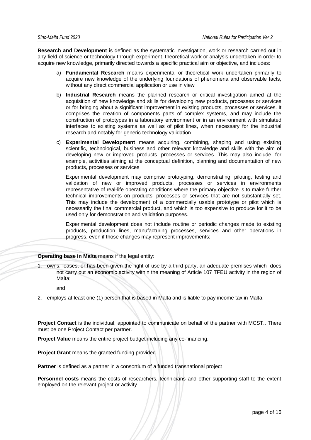**Research and Development** is defined as the systematic investigation, work or research carried out in any field of science or technology through experiment, theoretical work or analysis undertaken in order to acquire new knowledge, primarily directed towards a specific practical aim or objective, and includes:

- a) **Fundamental Research** means experimental or theoretical work undertaken primarily to acquire new knowledge of the underlying foundations of phenomena and observable facts, without any direct commercial application or use in view
- b) **Industrial Research** means the planned research or critical investigation aimed at the acquisition of new knowledge and skills for developing new products, processes or services or for bringing about a significant improvement in existing products, processes or services. It comprises the creation of components parts of complex systems, and may include the construction of prototypes in a laboratory environment or in an environment with simulated interfaces to existing systems as well as of pilot lines, when necessary for the industrial research and notably for generic technology validation
- c) **Experimental Development** means acquiring, combining, shaping and using existing scientific, technological, business and other relevant knowledge and skills with the aim of developing new or improved products, processes or services. This may also include, for example, activities aiming at the conceptual definition, planning and documentation of new products, processes or services

Experimental development may comprise prototyping, demonstrating, piloting, testing and validation of new or improved products, processes or services in environments representative of real-life operating conditions where the primary objective is to make further technical improvements on products, processes or services that are not substantially set. This may include the development of a commercially usable prototype or pilot which is necessarily the final commercial product, and which is too expensive to produce for it to be used only for demonstration and validation purposes.

Experimental development does not include routine or periodic changes made to existing products, production lines, manufacturing processes, services and other operations in progress, even if those changes may represent improvements;

#### **Operating base in Malta** means if the legal entity:

1. owns, leases, or has been given the right of use by a third party, an adequate premises which does not carry out an economic activity within the meaning of Article 107 TFEU activity in the region of Malta;

and

2. employs at least one (1) person that is based in Malta and is liable to pay income tax in Malta.

**Project Contact** is the individual, appointed to communicate on behalf of the partner with MCST.. There must be one Project Contact per partner.

**Project Value** means the entire project budget including any co-financing.

**Project Grant** means the granted funding provided.

**Partner** is defined as a partner in a consortium of a funded transnational project

**Personnel costs** means the costs of researchers, technicians and other supporting staff to the extent employed on the relevant project or activity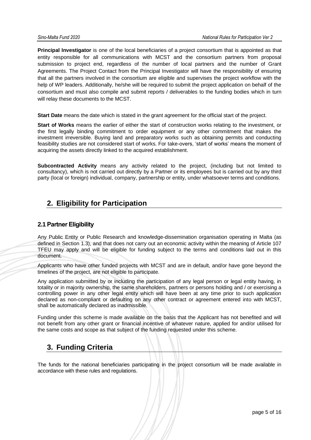**Principal Investigator** is one of the local beneficiaries of a project consortium that is appointed as that entity responsible for all communications with MCST and the consortium partners from proposal submission to project end, regardless of the number of local partners and the number of Grant Agreements. The Project Contact from the Principal Investigator will have the responsibility of ensuring that all the partners involved in the consortium are eligible and supervises the project workflow with the help of WP leaders. Additionally, he/she will be required to submit the project application on behalf of the consortium and must also compile and submit reports / deliverables to the funding bodies which in turn will relay these documents to the MCST.

**Start Date** means the date which is stated in the grant agreement for the official start of the project.

**Start of Works** means the earlier of either the start of construction works relating to the investment, or the first legally binding commitment to order equipment or any other commitment that makes the investment irreversible. Buying land and preparatory works such as obtaining permits and conducting feasibility studies are not considered start of works. For take-overs, 'start of works' means the moment of acquiring the assets directly linked to the acquired establishment.

**Subcontracted Activity** means any activity related to the project, (including but not limited to consultancy), which is not carried out directly by a Partner or its employees but is carried out by any third party (local or foreign) individual, company, partnership or entity, under whatsoever terms and conditions.

## <span id="page-6-0"></span>**2. Eligibility for Participation**

### <span id="page-6-1"></span>**2.1 Partner Eligibility**

Any Public Entity or Public Research and knowledge-dissemination organisation operating in Malta (as defined in Section 1.3), and that does not carry out an economic activity within the meaning of Article 107 TFEU may apply and will be eligible for funding subject to the terms and conditions laid out in this document*.*

Applicants who have other funded projects with MCST and are in default, and/or have gone beyond the timelines of the project, are not eligible to participate.

Any application submitted by or including the participation of any legal person or legal entity having, in totality or in majority ownership, the same shareholders, partners or persons holding and / or exercising a controlling power in any other legal entity which will have been at any time prior to such application declared as non-compliant or defaulting on any other contract or agreement entered into with MCST, shall be automatically declared as inadmissible.

Funding under this scheme is made available on the basis that the Applicant has not benefited and will not benefit from any other grant or financial incentive of whatever nature, applied for and/or utilised for the same costs and scope as that subject of the funding requested under this scheme.

## <span id="page-6-2"></span>**3. Funding Criteria**

The funds for the national beneficiaries participating in the project consortium will be made available in accordance with these rules and regulations.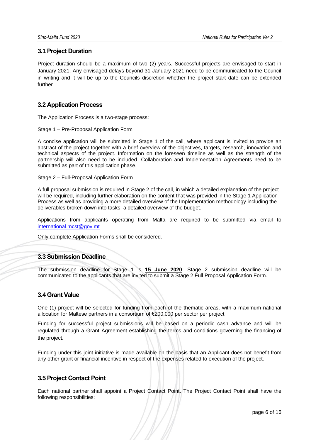## <span id="page-7-0"></span>**3.1 Project Duration**

Project duration should be a maximum of two (2) years. Successful projects are envisaged to start in January 2021. Any envisaged delays beyond 31 January 2021 need to be communicated to the Council in writing and it will be up to the Councils discretion whether the project start date can be extended further.

## <span id="page-7-1"></span>**3.2 Application Process**

The Application Process is a two-stage process:

#### Stage 1 – Pre-Proposal Application Form

A concise application will be submitted in Stage 1 of the call, where applicant is invited to provide an abstract of the project together with a brief overview of the objectives, targets, research, innovation and technical aspects of the project. Information on the foreseen timeline as well as the strength of the partnership will also need to be included. Collaboration and Implementation Agreements need to be submitted as part of this application phase.

Stage 2 – Full-Proposal Application Form

A full proposal submission is required in Stage 2 of the call, in which a detailed explanation of the project will be required, including further elaboration on the content that was provided in the Stage 1 Application Process as well as providing a more detailed overview of the Implementation methodology including the deliverables broken down into tasks, a detailed overview of the budget.

Applications from applicants operating from Malta are required to be submitted via email to [international.mcst@gov.mt](mailto:international.mcst@gov.mt)

<span id="page-7-2"></span>Only complete Application Forms shall be considered.

### **3.3 Submission Deadline**

<span id="page-7-3"></span>The submission deadline for Stage 1 is **15 June 2020**. Stage 2 submission deadline will be communicated to the applicants that are invited to submit a Stage 2 Full Proposal Application Form.

### **3.4 Grant Value**

One (1) project will be selected for funding from each of the thematic areas, with a maximum national allocation for Maltese partners in a consortium of €200,000 per sector per project

Funding for successful project submissions will be based on a periodic cash advance and will be regulated through a Grant Agreement establishing the terms and conditions governing the financing of the project.

Funding under this joint initiative is made available on the basis that an Applicant does not benefit from any other grant or financial incentive in respect of the expenses related to execution of the project.

### <span id="page-7-4"></span>**3.5 Project Contact Point**

Each national partner shall appoint a Project Contact Point. The Project Contact Point shall have the following responsibilities: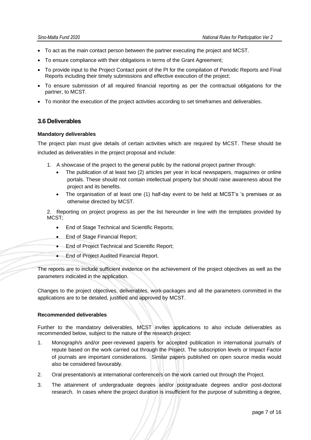- To act as the main contact person between the partner executing the project and MCST.
- To ensure compliance with their obligations in terms of the Grant Agreement;
- To provide input to the Project Contact point of the PI for the compilation of Periodic Reports and Final Reports including their timely submissions and effective execution of the project;
- To ensure submission of all required financial reporting as per the contractual obligations for the partner, to MCST.
- <span id="page-8-0"></span>• To monitor the execution of the project activities according to set timeframes and deliverables.

## **3.6 Deliverables**

#### **Mandatory deliverables**

The project plan must give details of certain activities which are required by MCST. These should be included as deliverables in the project proposal and include:

- 1. A showcase of the project to the general public by the national project partner through:
	- The publication of at least two (2) articles per year in local newspapers, magazines or online portals. These should not contain intellectual property but should raise awareness about the project and its benefits.
	- The organisation of at least one (1) half-day event to be held at MCST's 's premises or as otherwise directed by MCST.

2. Reporting on project progress as per the list hereunder in line with the templates provided by MCST;

- End of Stage Technical and Scientific Reports;
- End of Stage Financial Report;
- End of Project Technical and Scientific Report;
- End of Project Audited Financial Report.

The reports are to include sufficient evidence on the achievement of the project objectives as well as the parameters indicated in the application.

Changes to the project objectives, deliverables, work-packages and all the parameters committed in the applications are to be detailed, justified and approved by MCST.

#### **Recommended deliverables**

Further to the mandatory deliverables, MCST invites applications to also include deliverables as recommended below, subject to the nature of the research project:

- 1. Monograph/s and/or peer-reviewed paper/s for accepted publication in international journal/s of repute based on the work carried out through the Project. The subscription levels or Impact Factor of journals are important considerations. Similar papers published on open source media would also be considered favourably.
- 2. Oral presentation/s at international conference/s on the work carried out through the Project.
- 3. The attainment of undergraduate degrees and/or postgraduate degrees and/or post-doctoral research. In cases where the project duration is insufficient for the purpose of submitting a degree,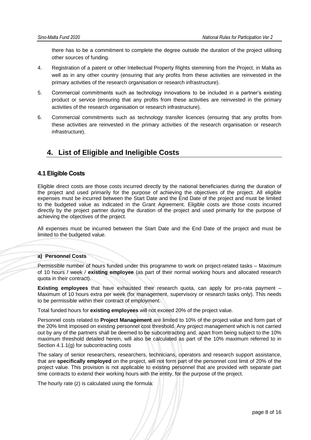there has to be a commitment to complete the degree outside the duration of the project utilising other sources of funding.

- 4. Registration of a patent or other Intellectual Property Rights stemming from the Project, in Malta as well as in any other country (ensuring that any profits from these activities are reinvested in the primary activities of the research organisation or research infrastructure).
- 5. Commercial commitments such as technology innovations to be included in a partner's existing product or service (ensuring that any profits from these activities are reinvested in the primary activities of the research organisation or research infrastructure).
- 6. Commercial commitments such as technology transfer licences (ensuring that any profits from these activities are reinvested in the primary activities of the research organisation or research infrastructure).

## <span id="page-9-0"></span>**4. List of Eligible and Ineligible Costs**

## <span id="page-9-1"></span>**4.1 Eligible Costs**

Eligible direct costs are those costs incurred directly by the national beneficiaries during the duration of the project and used primarily for the purpose of achieving the objectives of the project. All eligible expenses must be incurred between the Start Date and the End Date of the project and must be limited to the budgeted value as indicated in the Grant Agreement. Eligible costs are those costs incurred directly by the project partner during the duration of the project and used primarily for the purpose of achieving the objectives of the project.

All expenses must be incurred between the Start Date and the End Date of the project and must be limited to the budgeted value.

#### **a) Personnel Costs**

Permissible number of hours funded under this programme to work on project-related tasks – Maximum of 10 hours / week / **existing employee** (as part of their normal working hours and allocated research quota in their contract).

**Existing employees** that have exhausted their research quota, can apply for pro-rata payment – Maximum of 10 hours extra per week (for management, supervisory or research tasks only). This needs to be permissible within their contract of employment.

Total funded hours for **existing employees** will not exceed 20% of the project value.

Personnel costs related to **Project Management** are limited to 10% of the project value and form part of the 20% limit imposed on existing personnel cost threshold. Any project management which is not carried out by any of the partners shall be deemed to be subcontracting and, apart from being subject to the 10% maximum threshold detailed herein, will also be calculated as part of the 10% maximum referred to in Section 4.1.1(g) for subcontracting costs

The salary of senior researchers, researchers, technicians, operators and research support assistance, that are **specifically employed** on the project, will not form part of the personnel cost limit of 20% of the project value. This provision is not applicable to existing personnel that are provided with separate part time contracts to extend their working hours with the entity, for the purpose of the project.

The hourly rate (z) is calculated using the formula: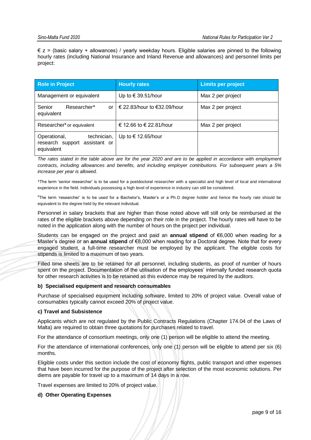$\epsilon$  z = (basic salary + allowances) / yearly weekday hours. Eligible salaries are pinned to the following hourly rates (including National Insurance and Inland Revenue and allowances) and personnel limits per project:

| <b>Role in Project</b>                                                     | <b>Hourly rates</b>         | <b>Limits per project</b> |
|----------------------------------------------------------------------------|-----------------------------|---------------------------|
| Management or equivalent                                                   | Up to $\in$ 39.51/hour      | Max 2 per project         |
| Researcher*<br>Senior<br><b>or</b><br>equivalent                           | € 22.83/hour to €32.09/hour | Max 2 per project         |
| Researcher <sup>¥</sup> or equivalent                                      | € 12.66 to € 22.81/hour     | Max 2 per project         |
| technician,<br>Operational,<br>research support assistant or<br>equivalent | Up to € 12.65/hour          |                           |

*The rates stated in the table above are for the year 2020 and are to be applied in accordance with employment contracts, including allowances and benefits, and including employer contributions. For subsequent years a 5% increase per year is allowed.* 

\*The term 'senior researcher' is to be used for a postdoctoral researcher with a specialist and high level of local and international experience in the field. Individuals possessing a high level of experience in industry can still be considered.

¥The term 'researcher' is to be used for a Bachelor's, Master's or a Ph.D degree holder and hence the hourly rate should be equivalent to the degree held by the relevant individual.

Personnel in salary brackets that are higher than those noted above will still only be reimbursed at the rates of the eligible brackets above depending on their role in the project. The hourly rates will have to be noted in the application along with the number of hours on the project per individual.

Students can be engaged on the project and paid an **annual stipend** of €6,000 when reading for a Master's degree or an **annual stipend** of €8,000 when reading for a Doctoral degree. Note that for every engaged student, a full-time researcher must be employed by the applicant. The eligible costs for stipends is limited to a maximum of two years.

Filled time sheets are to be retained for all personnel, including students, as proof of number of hours spent on the project. Documentation of the utilisation of the employees' internally funded research quota for other research activities is to be retained as this evidence may be required by the auditors.

#### **b) Specialised equipment and research consumables**

Purchase of specialised equipment including software, limited to 20% of project value. Overall value of consumables typically cannot exceed 20% of project value.

#### **c) Travel and Subsistence**

Applicants which are not regulated by the Public Contracts Regulations (Chapter 174.04 of the Laws of Malta) are required to obtain three quotations for purchases related to travel.

For the attendance of consortium meetings, only one (1) person will be eligible to attend the meeting.

For the attendance of international conferences, only one (1) person will be eligible to attend per six (6) months.

Eligible costs under this section include the cost of economy flights, public transport and other expenses that have been incurred for the purpose of the project after selection of the most economic solutions. Per diems are payable for travel up to a maximum of 14 days in a row.

Travel expenses are limited to 20% of project value.

#### **d) Other Operating Expenses**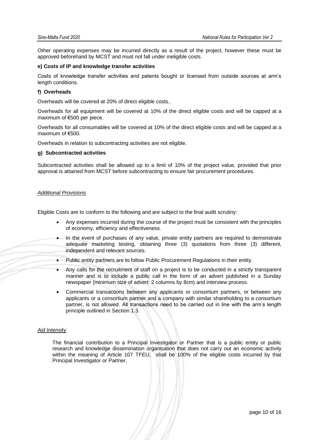Other operating expenses may be incurred directly as a result of the project, however these must be approved beforehand by MCST and must not fall under ineligible costs.

#### **e) Costs of IP and knowledge transfer activities**

Costs of knowledge transfer activities and patents bought or licensed from outside sources at arm's length conditions.

#### **f) Overheads**

Overheads will be covered at 20% of direct eligible costs..

Overheads for all equipment will be covered at 10% of the direct eligible costs and will be capped at a maximum of €500 per piece.

Overheads for all consumables will be covered at 10% of the direct eligible costs and will be capped at a maximum of €500.

Overheads in relation to subcontracting activities are not eligible.

#### **g) Subcontracted activities**

Subcontracted activities shall be allowed up to a limit of 10% of the project value, provided that prior approval is attained from MCST before subcontracting to ensure fair procurement procedures.

#### *Additional Provisions*

Eligible Costs are to conform to the following and are subject to the final audit scrutiny:

- Any expenses incurred during the course of the project must be consistent with the principles of economy, efficiency and effectiveness.
- In the event of purchases of any value, private entity partners are required to demonstrate adequate marketing testing, obtaining three (3) quotations from three (3) different, independent and relevant sources.
- Public entity partners are to follow Public Procurement Regulations in their entity.
- Any calls for the recruitment of staff on a project is to be conducted in a strictly transparent manner and is to include a public call in the form of an advert published in a Sunday newspaper (minimum size of advert: 2 columns by 8cm) and interview process.
- Commercial transactions between any applicants or consortium partners, or between any applicants or a consortium partner and a company with similar shareholding to a consortium partner, is not allowed. All transactions need to be carried out in line with the arm's length principle outlined in Section 1.3.

#### *Aid Intensity*

The financial contribution to a Principal Investigator or Partner that is a public entity or public research and knowledge dissemination organisation that does not carry out an economic activity within the meaning of Article 107 TFEU, shall be 100% of the eligible costs incurred by that Principal Investigator or Partner.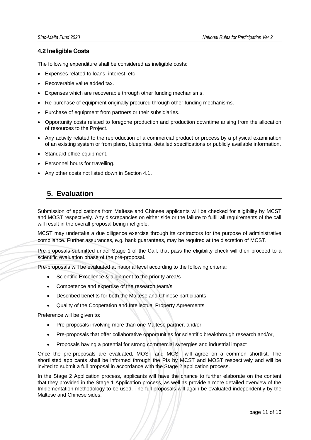## <span id="page-12-0"></span>**4.2 Ineligible Costs**

The following expenditure shall be considered as ineligible costs:

- Expenses related to loans, interest, etc
- Recoverable value added tax.
- Expenses which are recoverable through other funding mechanisms.
- Re-purchase of equipment originally procured through other funding mechanisms.
- Purchase of equipment from partners or their subsidiaries.
- Opportunity costs related to foregone production and production downtime arising from the allocation of resources to the Project.
- Any activity related to the reproduction of a commercial product or process by a physical examination of an existing system or from plans, blueprints, detailed specifications or publicly available information.
- Standard office equipment.
- Personnel hours for travelling.
- Any other costs not listed down in Section 4.1.

## <span id="page-12-1"></span>**5. Evaluation**

Submission of applications from Maltese and Chinese applicants will be checked for eligibility by MCST and MOST respectively. Any discrepancies on either side or the failure to fulfill all requirements of the call will result in the overall proposal being ineligible.

MCST may undertake a due diligence exercise through its contractors for the purpose of administrative compliance. Further assurances, e.g. bank guarantees, may be required at the discretion of MCST.

Pre-proposals submitted under Stage 1 of the Call, that pass the eligibility check will then proceed to a scientific evaluation phase of the pre-proposal.

Pre-proposals will be evaluated at national level according to the following criteria:

- Scientific Excellence & alignment to the priority area/s
- Competence and expertise of the research team/s
- Described benefits for both the Maltese and Chinese participants
- Quality of the Cooperation and Intellectual Property Agreements

Preference will be given to:

- Pre-proposals involving more than one Maltese partner, and/or
- Pre-proposals that offer collaborative opportunities for scientific breakthrough research and/or,
- Proposals having a potential for strong commercial synergies and industrial impact

Once the pre-proposals are evaluated, MOST and MCST will agree on a common shortlist. The shortlisted applicants shall be informed through the PIs by MCST and MOST respectively and will be invited to submit a full proposal in accordance with the Stage 2 application process.

In the Stage 2 Application process, applicants will have the chance to further elaborate on the content that they provided in the Stage 1 Application process, as well as provide a more detailed overview of the Implementation methodology to be used. The full proposals will again be evaluated independently by the Maltese and Chinese sides.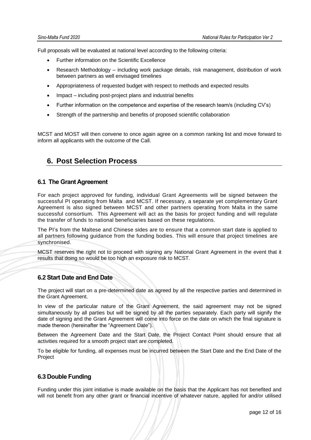Full proposals will be evaluated at national level according to the following criteria:

- Further information on the Scientific Excellence
- Research Methodology including work package details, risk management, distribution of work between partners as well envisaged timelines
- Appropriateness of requested budget with respect to methods and expected results
- Impact including post-project plans and industrial benefits
- Further information on the competence and expertise of the research team/s (including CV's)
- Strength of the partnership and benefits of proposed scientific collaboration

MCST and MOST will then convene to once again agree on a common ranking list and move forward to inform all applicants with the outcome of the Call.

## <span id="page-13-0"></span>**6. Post Selection Process**

### <span id="page-13-1"></span>**6.1 The Grant Agreement**

For each project approved for funding, individual Grant Agreements will be signed between the successful PI operating from Malta and MCST. If necessary, a separate yet complementary Grant Agreement is also signed between MCST and other partners operating from Malta in the same successful consortium. This Agreement will act as the basis for project funding and will regulate the transfer of funds to national beneficiaries based on these regulations.

The PI's from the Maltese and Chinese sides are to ensure that a common start date is applied to all partners following guidance from the funding bodies. This will ensure that project timelines are synchronised.

MCST reserves the right not to proceed with signing any National Grant Agreement in the event that it results that doing so would be too high an exposure risk to MCST.

## <span id="page-13-2"></span>**6.2 Start Date and End Date**

The project will start on a pre-determined date as agreed by all the respective parties and determined in the Grant Agreement.

In view of the particular nature of the Grant Agreement, the said agreement may not be signed simultaneously by all parties but will be signed by all the parties separately. Each party will signify the date of signing and the Grant Agreement will come into force on the date on which the final signature is made thereon (hereinafter the "Agreement Date").

Between the Agreement Date and the Start Date, the Project Contact Point should ensure that all activities required for a smooth project start are completed.

To be eligible for funding, all expenses must be incurred between the Start Date and the End Date of the Project

#### <span id="page-13-3"></span>**6.3 Double Funding**

Funding under this joint initiative is made available on the basis that the Applicant has not benefited and will not benefit from any other grant or financial incentive of whatever nature, applied for and/or utilised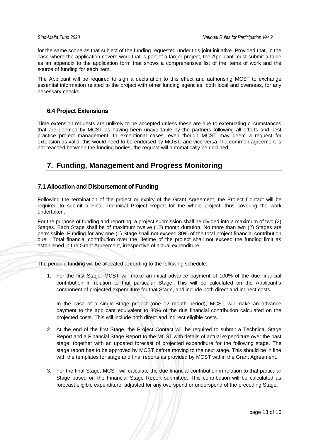for the same scope as that subject of the funding requested under this joint initiative. Provided that, in the case where the application covers work that is part of a larger project, the Applicant must submit a table as an appendix to the application form that shows a comprehensive list of the items of work and the source of funding for each item.

The Applicant will be required to sign a declaration to this effect and authorising MCST to exchange essential information related to the project with other funding agencies, both local and overseas, for any necessary checks.

## **6.4 Project Extensions**

Time extension requests are unlikely to be accepted unless these are due to extenuating circumstances that are deemed by MCST as having been unavoidable by the partners following all efforts and best practice project management. In exceptional cases, even though MCST may deem a request for extension as valid, this would need to be endorsed by MOST, and vice versa. If a common agreement is not reached between the funding bodies, the request will automatically be declined.

## <span id="page-14-0"></span>**7. Funding, Management and Progress Monitoring**

## <span id="page-14-1"></span>**7.1 Allocation and Disbursement of Funding**

Following the termination of the project or expiry of the Grant Agreement, the Project Contact will be required to submit a Final Technical Project Report for the whole project, thus covering the work undertaken.

For the purpose of funding and reporting, a project submission shall be divided into a maximum of two (2) Stages. Each Stage shall be of maximum twelve (12) month duration. No more than two (2) Stages are permissible. Funding for any one (1) Stage shall not exceed 80% of the total project financial contribution due. Total financial contribution over the lifetime of the project shall not exceed the funding limit as established in the Grant Agreement, irrespective of actual expenditure.

The periodic funding will be allocated according to the following schedule:

1. For the first Stage, MCST will make an initial advance payment of 100% of the due financial contribution in relation to that particular Stage. This will be calculated on the Applicant's component of projected expenditure for that Stage, and include both direct and indirect costs.

In the case of a single-Stage project (one 12 month period), MCST will make an advance payment to the applicant equivalent to 80% of the due financial contribution calculated on the projected costs. This will include both direct and indirect eligible costs.

- 2. At the end of the first Stage, the Project Contact will be required to submit a Technical Stage Report and a Financial Stage Report to the MCST with details of actual expenditure over the past stage, together with an updated forecast of projected expenditure for the following stage. The stage report has to be approved by MCST before moving to the next stage. This should be in line with the templates for stage and final reports as provided by MCST within the Grant Agreement.
- 3. For the final Stage, MCST will calculate the due financial contribution in relation to that particular Stage based on the Financial Stage Report submitted. This contribution will be calculated as forecast eligible expenditure, adjusted for any overspend or underspend of the preceding Stage.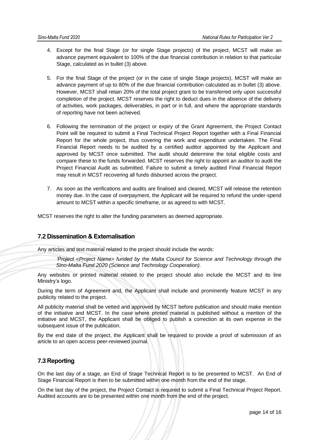- 4. Except for the final Stage (or for single Stage projects) of the project, MCST will make an advance payment equivalent to 100% of the due financial contribution in relation to that particular Stage, calculated as in bullet (3) above.
- 5. For the final Stage of the project (or in the case of single Stage projects), MCST will make an advance payment of up to 80% of the due financial contribution calculated as in bullet (3) above. However, MCST shall retain 20% of the total project grant to be transferred only upon successful completion of the project. MCST reserves the right to deduct dues in the absence of the delivery of activities, work packages, deliverables, in part or in full, and where the appropriate standards of reporting have not been achieved.
- 6. Following the termination of the project or expiry of the Grant Agreement, the Project Contact Point will be required to submit a Final Technical Project Report together with a Final Financial Report for the whole project, thus covering the work and expenditure undertaken. The Final Financial Report needs to be audited by a certified auditor appointed by the Applicant and approved by MCST once submitted. The audit should determine the total eligible costs and compare these to the funds forwarded. MCST reserves the right to appoint an auditor to audit the Project Financial Audit as submitted. Failure to submit a timely audited Final Financial Report may result in MCST recovering all funds disbursed across the project.
- 7. As soon as the verifications and audits are finalised and cleared, MCST will release the retention money due. In the case of overpayment, the Applicant will be required to refund the under-spend amount to MCST within a specific timeframe, or as agreed to with MCST.

MCST reserves the right to alter the funding parameters as deemed appropriate.

### <span id="page-15-0"></span>**7.2 Dissemination & Externalisation**

Any articles and text material related to the project should include the words:

*'Project <Project Name> funded by the Malta Council for Science and Technology through the Sino-Malta Fund 2020 (Science and Technology Cooperation).* 

Any websites or printed material related to the project should also include the MCST and its line Ministry's logo.

During the term of Agreement and, the Applicant shall include and prominently feature MCST in any publicity related to the project.

All publicity material shall be vetted and approved by MCST before publication and should make mention of the initiative and MCST. In the case where printed material is published without a mention of the initiative and MCST, the Applicant shall be obliged to publish a correction at its own expense in the subsequent issue of the publication.

By the end date of the project, the Applicant shall be required to provide a proof of submission of an article to an open access peer-reviewed journal.

## <span id="page-15-1"></span>**7.3 Reporting**

On the last day of a stage, an End of Stage Technical Report is to be presented to MCST. An End of Stage Financial Report is then to be submitted within one month from the end of the stage.

On the last day of the project, the Project Contact is required to submit a Final Technical Project Report. Audited accounts are to be presented within one month from the end of the project.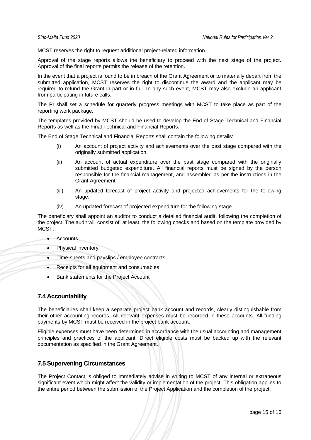MCST reserves the right to request additional project-related information.

Approval of the stage reports allows the beneficiary to proceed with the next stage of the project. Approval of the final reports permits the release of the retention.

In the event that a project is found to be in breach of the Grant Agreement or to materially depart from the submitted application, MCST reserves the right to discontinue the award and the applicant may be required to refund the Grant in part or in full. In any such event, MCST may also exclude an applicant from participating in future calls.

The PI shall set a schedule for quarterly progress meetings with MCST to take place as part of the reporting work package.

The templates provided by MCST should be used to develop the End of Stage Technical and Financial Reports as well as the Final Technical and Financial Reports.

The End of Stage Technical and Financial Reports shall contain the following details:

- (i) An account of project activity and achievements over the past stage compared with the originally submitted application.
- (ii) An account of actual expenditure over the past stage compared with the originally submitted budgeted expenditure. All financial reports must be signed by the person responsible for the financial management, and assembled as per the instructions in the Grant Agreement.
- (iii) An updated forecast of project activity and projected achievements for the following stage.
- (iv) An updated forecast of projected expenditure for the following stage.

The beneficiary shall appoint an auditor to conduct a detailed financial audit, following the completion of the project. The audit will consist of, at least, the following checks and based on the template provided by MCST:

- Accounts
- Physical inventory
- Time-sheets and payslips / employee contracts
- Receipts for all equipment and consumables
- Bank statements for the Project Account

### <span id="page-16-0"></span>**7.4 Accountability**

The beneficiaries shall keep a separate project bank account and records, clearly distinguishable from their other accounting records. All relevant expenses must be recorded in these accounts. All funding payments by MCST must be received in the project bank account.

Eligible expenses must have been determined in accordance with the usual accounting and management principles and practices of the applicant. Direct eligible costs must be backed up with the relevant documentation as specified in the Grant Agreement.

#### <span id="page-16-1"></span>**7.5 Supervening Circumstances**

The Project Contact is obliged to immediately advise in writing to MCST of any internal or extraneous significant event which might affect the validity or implementation of the project. This obligation applies to the entire period between the submission of the Project Application and the completion of the project.